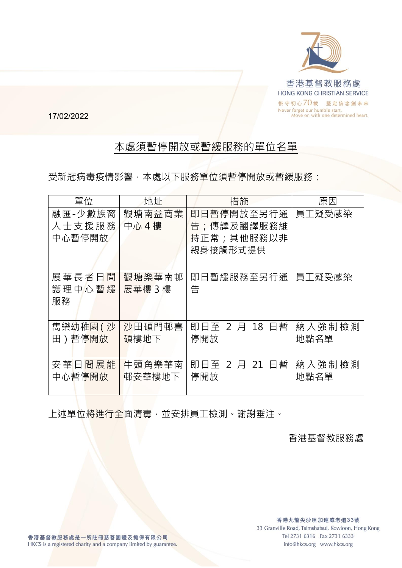

17/02/2022

## 本處須暫停開放或暫緩服務的單位名單

受新冠病毒疫情影響,本處以下服務單位須暫停開放或暫緩服務:

| 單位                          | 地址               | 措施                                                 | 原因             |
|-----------------------------|------------------|----------------------------------------------------|----------------|
| 融匯-少數族裔<br>人士支援服務<br>中心暫停開放 | 觀塘南益商業<br>中心4樓   | 即日暫停開放至另行通<br>告;傳譯及翻譯服務維<br>持正常;其他服務以非<br>親身接觸形式提供 | 員工疑受感染         |
| 展華長者日間<br>護理中心暫緩<br>服務      | 觀塘樂華南邨<br>展華樓 3樓 | 即日暫緩服務至另行通<br>告                                    | 員工疑受感染         |
| 雋樂幼稚園( 沙<br>田)暫停開放          | 沙田碩門邨喜<br>碩樓地下   | 2 月 18 日暫<br>即日至<br>停開放                            | 納入強制檢測<br>地點名單 |
| 安華日間展能<br>中心暫停開放            | 牛頭角樂華南<br>邨安華樓地下 | 即日至 2 月 21 日暫<br>停開放                               | 納入強制檢測<br>地點名單 |

上述單位將進行全面清毒,並安排員工檢測。謝謝垂注。

香港基督教服務處